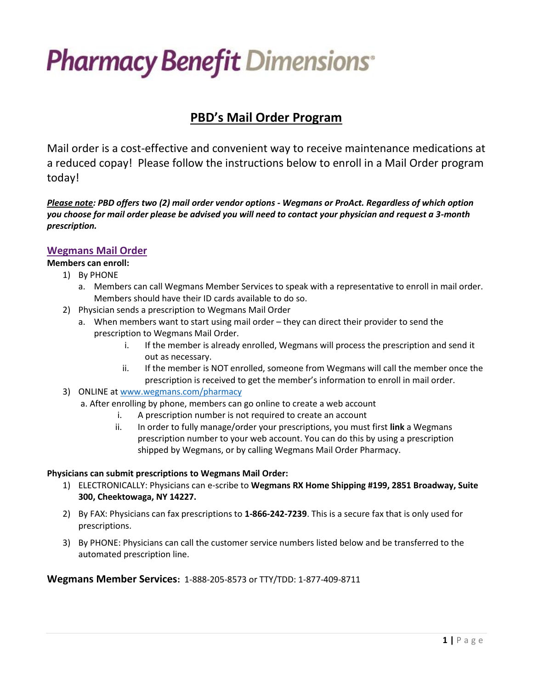# **Pharmacy Benefit Dimensions**

# **PBD's Mail Order Program**

Mail order is a cost-effective and convenient way to receive maintenance medications at a reduced copay! Please follow the instructions below to enroll in a Mail Order program today!

*Please note: PBD offers two (2) mail order vendor options - Wegmans or ProAct. Regardless of which option you choose for mail order please be advised you will need to contact your physician and request a 3-month prescription.*

## **Wegmans Mail Order**

#### **Members can enroll:**

- 1) By PHONE
	- a. Members can call Wegmans Member Services to speak with a representative to enroll in mail order. Members should have their ID cards available to do so.
- 2) Physician sends a prescription to Wegmans Mail Order
	- a. When members want to start using mail order they can direct their provider to send the prescription to Wegmans Mail Order.
		- i. If the member is already enrolled, Wegmans will process the prescription and send it out as necessary.
		- ii. If the member is NOT enrolled, someone from Wegmans will call the member once the prescription is received to get the member's information to enroll in mail order.
- 3) ONLINE at [www.wegmans.com/pharmacy](https://urldefense.com/v3/__http:/www.wegmans.com/pharmacy__;!!FbAMfuZxW-9r!i1C9pwOJ7pL9qPsyvzqGkPVMpejYK2Uf3LJ5awzo0e_mX1Yhu-KWSEcbjjkWUFK5B6c$)
	- a. After enrolling by phone, members can go online to create a web account
		- i. A prescription number is not required to create an account
		- ii. In order to fully manage/order your prescriptions, you must first **link** a Wegmans prescription number to your web account. You can do this by using a prescription shipped by Wegmans, or by calling Wegmans Mail Order Pharmacy.

#### **Physicians can submit prescriptions to Wegmans Mail Order:**

- 1) ELECTRONICALLY: Physicians can e-scribe to **Wegmans RX Home Shipping #199, 2851 Broadway, Suite 300, Cheektowaga, NY 14227.**
- 2) By FAX: Physicians can fax prescriptions to **1-866-242-7239**. This is a secure fax that is only used for prescriptions.
- 3) By PHONE: Physicians can call the customer service numbers listed below and be transferred to the automated prescription line.

**Wegmans Member Services:** 1-888-205-8573 or TTY/TDD: 1-877-409-8711